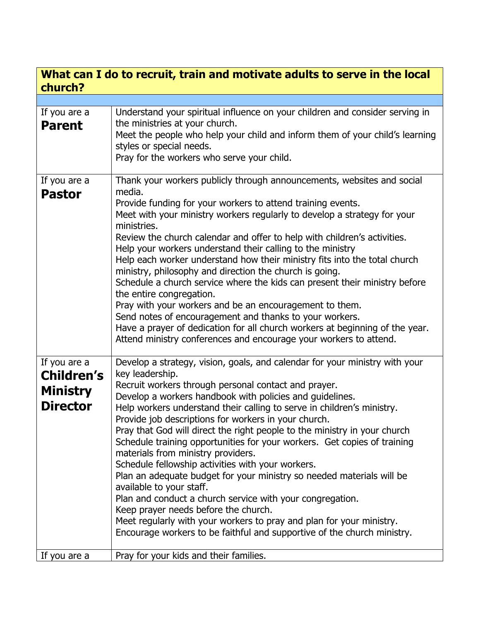## **What can I do to recruit, train and motivate adults to serve in the local church?**

| If you are a      | Understand your spiritual influence on your children and consider serving in          |
|-------------------|---------------------------------------------------------------------------------------|
| <b>Parent</b>     | the ministries at your church.                                                        |
|                   | Meet the people who help your child and inform them of your child's learning          |
|                   | styles or special needs.                                                              |
|                   | Pray for the workers who serve your child.                                            |
|                   |                                                                                       |
| If you are a      | Thank your workers publicly through announcements, websites and social                |
| <b>Pastor</b>     | media.                                                                                |
|                   | Provide funding for your workers to attend training events.                           |
|                   | Meet with your ministry workers regularly to develop a strategy for your              |
|                   | ministries.                                                                           |
|                   | Review the church calendar and offer to help with children's activities.              |
|                   | Help your workers understand their calling to the ministry                            |
|                   | Help each worker understand how their ministry fits into the total church             |
|                   | ministry, philosophy and direction the church is going.                               |
|                   | Schedule a church service where the kids can present their ministry before            |
|                   | the entire congregation.                                                              |
|                   | Pray with your workers and be an encouragement to them.                               |
|                   | Send notes of encouragement and thanks to your workers.                               |
|                   | Have a prayer of dedication for all church workers at beginning of the year.          |
|                   | Attend ministry conferences and encourage your workers to attend.                     |
|                   |                                                                                       |
| If you are a      | Develop a strategy, vision, goals, and calendar for your ministry with your           |
| <b>Children's</b> | key leadership.                                                                       |
|                   | Recruit workers through personal contact and prayer.                                  |
| <b>Ministry</b>   | Develop a workers handbook with policies and guidelines.                              |
| <b>Director</b>   | Help workers understand their calling to serve in children's ministry.                |
|                   | Provide job descriptions for workers in your church.                                  |
|                   | Pray that God will direct the right people to the ministry in your church             |
|                   | Schedule training opportunities for your workers. Get copies of training              |
|                   | materials from ministry providers.                                                    |
|                   | Schedule fellowship activities with your workers.                                     |
|                   | Plan an adequate budget for your ministry so needed materials will be                 |
|                   |                                                                                       |
|                   | available to your staff.<br>Plan and conduct a church service with your congregation. |
|                   |                                                                                       |
|                   | Keep prayer needs before the church.                                                  |
|                   | Meet regularly with your workers to pray and plan for your ministry.                  |
|                   | Encourage workers to be faithful and supportive of the church ministry.               |
|                   |                                                                                       |
| If you are a      | Pray for your kids and their families.                                                |